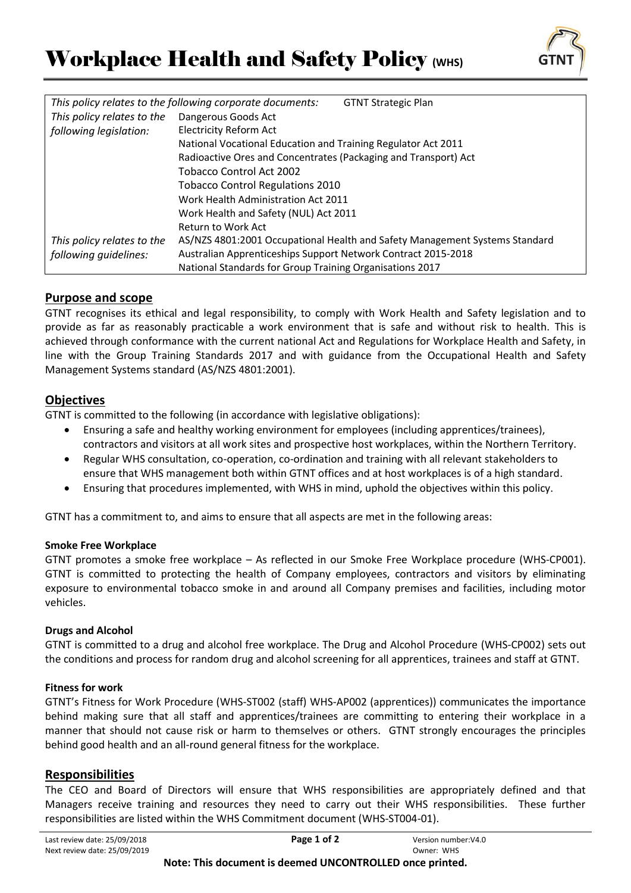

| This policy relates to the following corporate documents:<br><b>GTNT Strategic Plan</b> |                                                                             |
|-----------------------------------------------------------------------------------------|-----------------------------------------------------------------------------|
| This policy relates to the                                                              | Dangerous Goods Act                                                         |
| following legislation:                                                                  | <b>Electricity Reform Act</b>                                               |
|                                                                                         | National Vocational Education and Training Regulator Act 2011               |
|                                                                                         | Radioactive Ores and Concentrates (Packaging and Transport) Act             |
|                                                                                         | <b>Tobacco Control Act 2002</b>                                             |
|                                                                                         | <b>Tobacco Control Regulations 2010</b>                                     |
|                                                                                         | Work Health Administration Act 2011                                         |
|                                                                                         | Work Health and Safety (NUL) Act 2011                                       |
|                                                                                         | Return to Work Act                                                          |
| This policy relates to the                                                              | AS/NZS 4801:2001 Occupational Health and Safety Management Systems Standard |
| following quidelines:                                                                   | Australian Apprenticeships Support Network Contract 2015-2018               |
|                                                                                         | National Standards for Group Training Organisations 2017                    |

# **Purpose and scope**

GTNT recognises its ethical and legal responsibility, to comply with Work Health and Safety legislation and to provide as far as reasonably practicable a work environment that is safe and without risk to health. This is achieved through conformance with the current national Act and Regulations for Workplace Health and Safety, in line with the Group Training Standards 2017 and with guidance from the Occupational Health and Safety Management Systems standard (AS/NZS 4801:2001).

# **Objectives**

GTNT is committed to the following (in accordance with legislative obligations):

- Ensuring a safe and healthy working environment for employees (including apprentices/trainees), contractors and visitors at all work sites and prospective host workplaces, within the Northern Territory.
- Regular WHS consultation, co-operation, co-ordination and training with all relevant stakeholders to ensure that WHS management both within GTNT offices and at host workplaces is of a high standard.
- Ensuring that procedures implemented, with WHS in mind, uphold the objectives within this policy.

GTNT has a commitment to, and aims to ensure that all aspects are met in the following areas:

### **Smoke Free Workplace**

GTNT promotes a smoke free workplace – As reflected in our Smoke Free Workplace procedure (WHS-CP001). GTNT is committed to protecting the health of Company employees, contractors and visitors by eliminating exposure to environmental tobacco smoke in and around all Company premises and facilities, including motor vehicles.

### **Drugs and Alcohol**

GTNT is committed to a drug and alcohol free workplace. The Drug and Alcohol Procedure (WHS-CP002) sets out the conditions and process for random drug and alcohol screening for all apprentices, trainees and staff at GTNT.

### **Fitness for work**

GTNT's Fitness for Work Procedure (WHS-ST002 (staff) WHS-AP002 (apprentices)) communicates the importance behind making sure that all staff and apprentices/trainees are committing to entering their workplace in a manner that should not cause risk or harm to themselves or others. GTNT strongly encourages the principles behind good health and an all-round general fitness for the workplace.

### **Responsibilities**

The CEO and Board of Directors will ensure that WHS responsibilities are appropriately defined and that Managers receive training and resources they need to carry out their WHS responsibilities. These further responsibilities are listed within the WHS Commitment document (WHS-ST004-01).